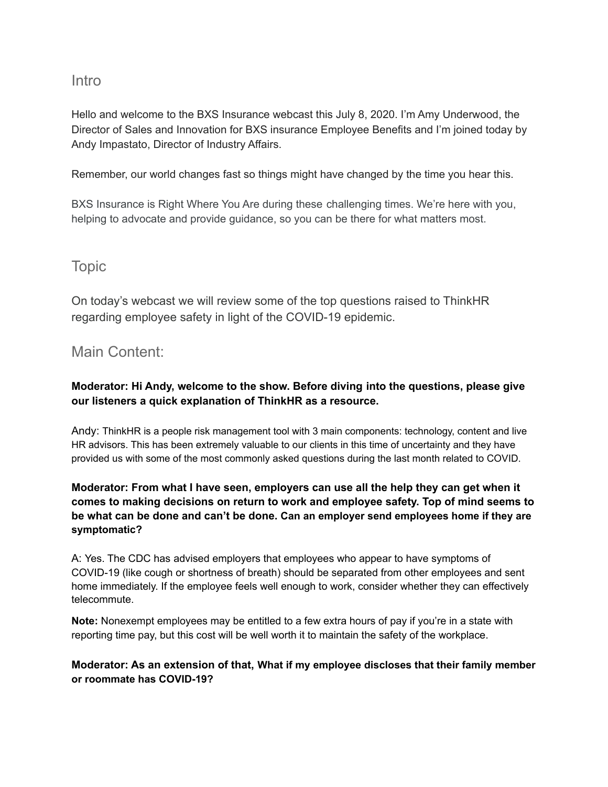# Intro

Hello and welcome to the BXS Insurance webcast this July 8, 2020. I'm Amy Underwood, the Director of Sales and Innovation for BXS insurance Employee Benefits and I'm joined today by Andy Impastato, Director of Industry Affairs.

Remember, our world changes fast so things might have changed by the time you hear this.

BXS Insurance is Right Where You Are during these challenging times. We're here with you, helping to advocate and provide guidance, so you can be there for what matters most.

# Topic

On today's webcast we will review some of the top questions raised to ThinkHR regarding employee safety in light of the COVID-19 epidemic.

# Main Content:

## **Moderator: Hi Andy, welcome to the show. Before diving into the questions, please give our listeners a quick explanation of ThinkHR as a resource.**

Andy: ThinkHR is a people risk management tool with 3 main components: technology, content and live HR advisors. This has been extremely valuable to our clients in this time of uncertainty and they have provided us with some of the most commonly asked questions during the last month related to COVID.

### **Moderator: From what I have seen, employers can use all the help they can get when it comes to making decisions on return to work and employee safety. Top of mind seems to be what can be done and can't be done. Can an employer send employees home if they are symptomatic?**

A: Yes. The CDC has [advised employers](https://www.cdc.gov/coronavirus/2019-ncov/specific-groups/guidance-business-response.html) that employees who appear to have symptoms of COVID-19 (like cough or shortness of breath) should be separated from other employees and sent home immediately. If the employee feels well enough to work, consider whether they can effectively telecommute.

**Note:** Nonexempt employees may be entitled to a few extra hours of pay if you're in a state with reporting time pay, but this cost will be well worth it to maintain the safety of the workplace.

### **Moderator: As an extension of that, What if my employee discloses that their family member or roommate has COVID-19?**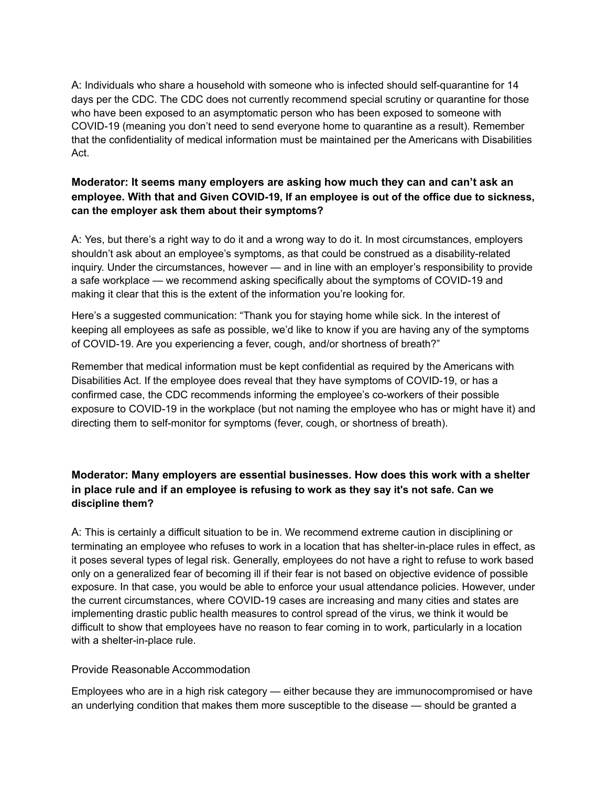A: Individuals who share a household with someone who is infected should self-quarantine for 14 days per the CDC. The CDC does not currently recommend special scrutiny or quarantine for those who have been exposed to an asymptomatic person who has been exposed to someone with COVID-19 (meaning you don't need to send everyone home to quarantine as a result). Remember that the confidentiality of medical information must be maintained per the Americans with Disabilities Act.

#### **Moderator: It seems many employers are asking how much they can and can't ask an employee. With that and Given COVID-19, If an employee is out of the office due to sickness, can the employer ask them about their symptoms?**

A: Yes, but there's a right way to do it and a wrong way to do it. In most circumstances, employers shouldn't ask about an employee's symptoms, as that could be construed as a disability-related inquiry. Under the circumstances, however — and in line with an employer's responsibility to provide a safe workplace — we recommend asking specifically about the symptoms of COVID-19 and making it clear that this is the extent of the information you're looking for.

Here's a suggested communication: "Thank you for staying home while sick. In the interest of keeping all employees as safe as possible, we'd like to know if you are having any of the symptoms of COVID-19. Are you experiencing a fever, cough, and/or shortness of breath?"

Remember that medical information must be kept confidential as required by the Americans with Disabilities Act. If the employee does reveal that they have symptoms of COVID-19, or has a confirmed case, the CDC recommends informing the employee's co-workers of their possible exposure to COVID-19 in the workplace (but not naming the employee who has or might have it) and directing them to self-monitor for symptoms (fever, cough, or shortness of breath).

## **Moderator: Many employers are essential businesses. How does this work with a shelter in place rule and if an employee is refusing to work as they say it's not safe. Can we discipline them?**

A: This is certainly a difficult situation to be in. We recommend extreme caution in disciplining or terminating an employee who refuses to work in a location that has shelter-in-place rules in effect, as it poses several types of legal risk. Generally, employees do not have a right to refuse to work based only on a generalized fear of becoming ill if their fear is not based on objective evidence of possible exposure. In that case, you would be able to enforce your usual attendance policies. However, under the current circumstances, where COVID-19 cases are increasing and many cities and states are implementing drastic public health measures to control spread of the virus, we think it would be difficult to show that employees have no reason to fear coming in to work, particularly in a location with a shelter-in-place rule.

#### Provide Reasonable Accommodation

Employees who are in a high risk category — either because they are immunocompromised or have an underlying condition that makes them more susceptible to the disease — should be granted a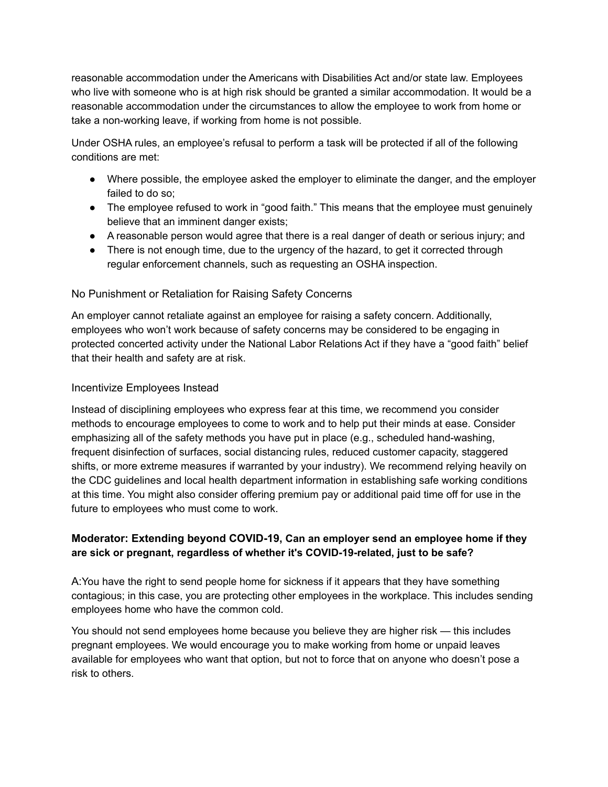reasonable accommodation under the Americans with Disabilities Act and/or state law. Employees who live with someone who is at high risk should be granted a similar accommodation. It would be a reasonable accommodation under the circumstances to allow the employee to work from home or take a non-working leave, if working from home is not possible.

Under OSHA rules, an employee's refusal to perform a task will be protected if all of the following conditions are met:

- Where possible, the employee asked the employer to eliminate the danger, and the employer failed to do so;
- The employee refused to work in "good faith." This means that the employee must genuinely believe that an imminent danger exists;
- A reasonable person would agree that there is a real danger of death or serious injury; and
- There is not enough time, due to the urgency of the hazard, to get it corrected through regular enforcement channels, such as requesting an OSHA inspection.

### No Punishment or Retaliation for Raising Safety Concerns

An employer cannot retaliate against an employee for raising a safety concern. Additionally, employees who won't work because of safety concerns may be considered to be engaging in protected concerted activity under the National Labor Relations Act if they have a "good faith" belief that their health and safety are at risk.

#### Incentivize Employees Instead

Instead of disciplining employees who express fear at this time, we recommend you consider methods to encourage employees to come to work and to help put their minds at ease. Consider emphasizing all of the safety methods you have put in place (e.g., scheduled hand-washing, frequent disinfection of surfaces, social distancing rules, reduced customer capacity, staggered shifts, or more extreme measures if warranted by your industry). We recommend relying heavily on the CDC guidelines and local health department information in establishing safe working conditions at this time. You might also consider offering premium pay or additional paid time off for use in the future to employees who must come to work.

### **Moderator: Extending beyond COVID-19, Can an employer send an employee home if they are sick or pregnant, regardless of whether it's COVID-19-related, just to be safe?**

A:You have the right to send people home for sickness if it appears that they have something contagious; in this case, you are protecting other employees in the workplace. This includes sending employees home who have the common cold.

You should not send employees home because you believe they are higher risk — this includes pregnant employees. We would encourage you to make working from home or unpaid leaves available for employees who want that option, but not to force that on anyone who doesn't pose a risk to others.